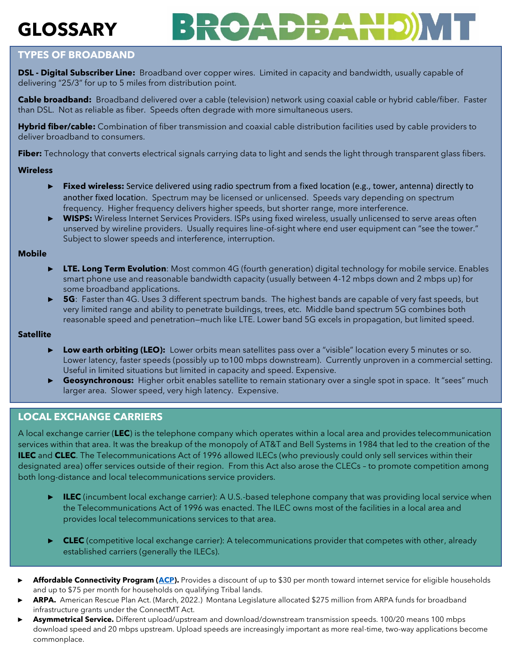# **GLOSSARY**



## **TYPES OF BROADBAND**

**DSL - Digital Subscriber Line:** Broadband over copper wires. Limited in capacity and bandwidth, usually capable of delivering "25/3" for up to 5 miles from distribution point.

**Cable broadband:** Broadband delivered over a cable (television) network using coaxial cable or hybrid cable/fiber. Faster than DSL. Not as reliable as fiber. Speeds often degrade with more simultaneous users.

**Hybrid fiber/cable:** Combination of fiber transmission and coaxial cable distribution facilities used by cable providers to deliver broadband to consumers.

**Fiber:** Technology that converts electrical signals carrying data to light and sends the light through transparent glass fibers.

#### **Wireless**

- ► **Fixed wireless:** Service delivered using radio spectrum from a fixed location (e.g., tower, antenna) directly to another fixed location. Spectrum may be licensed or unlicensed. Speeds vary depending on spectrum frequency. Higher frequency delivers higher speeds, but shorter range, more interference.
- ► **WISPS:** Wireless Internet Services Providers. ISPs using fixed wireless, usually unlicensed to serve areas often unserved by wireline providers. Usually requires line-of-sight where end user equipment can "see the tower." Subject to slower speeds and interference, interruption.

#### **Mobile**

- ► **LTE. Long Term Evolution**: Most common 4G (fourth generation) digital technology for mobile service. Enables smart phone use and reasonable bandwidth capacity (usually between 4-12 mbps down and 2 mbps up) for some broadband applications.
- ► **5G**: Faster than 4G. Uses 3 different spectrum bands. The highest bands are capable of very fast speeds, but very limited range and ability to penetrate buildings, trees, etc. Middle band spectrum 5G combines both reasonable speed and penetration—much like LTE. Lower band 5G excels in propagation, but limited speed.

#### **Satellite**

- **Low earth orbiting (LEO):** Lower orbits mean satellites pass over a "visible" location every 5 minutes or so. Lower latency, faster speeds (possibly up to100 mbps downstream). Currently unproven in a commercial setting. Useful in limited situations but limited in capacity and speed. Expensive.
- ► Geosynchronous: Higher orbit enables satellite to remain stationary over a single spot in space. It "sees" much larger area. Slower speed, very high latency. Expensive.

### **LOCAL EXCHANGE CARRIERS**

A local exchange carrier (**LEC**) is the telephone company which operates within a local area and provides telecommunication services within that area. It was the breakup of the monopoly of AT&T and Bell Systems in 1984 that led to the creation of the **ILEC** and **CLEC**. The Telecommunications Act of 1996 allowed ILECs (who previously could only sell services within their designated area) offer services outside of their region. From this Act also arose the CLECs – to promote competition among both long-distance and local telecommunications service providers.

- ► **ILEC** (incumbent local exchange carrier): A U.S.-based telephone company that was providing local service when the Telecommunications Act of 1996 was enacted. The ILEC owns most of the facilities in a local area and provides local telecommunications services to that area.
- **CLEC** (competitive local exchange carrier): A telecommunications provider that competes with other, already established carriers (generally the ILECs).
- **Affordable Connectivity Program [\(ACP\)](https://www.fcc.gov/acp).** Provides a discount of up to \$30 per month toward internet service for eligible households and up to \$75 per month for households on qualifying Tribal lands.
- **ARPA.** American Rescue Plan Act. (March, 2022.) Montana Legislature allocated \$275 million from ARPA funds for broadband infrastructure grants under the ConnectMT Act.
- ► **Asymmetrical Service.** Different upload/upstream and download/downstream transmission speeds. 100/20 means 100 mbps download speed and 20 mbps upstream. Upload speeds are increasingly important as more real-time, two-way applications become commonplace.